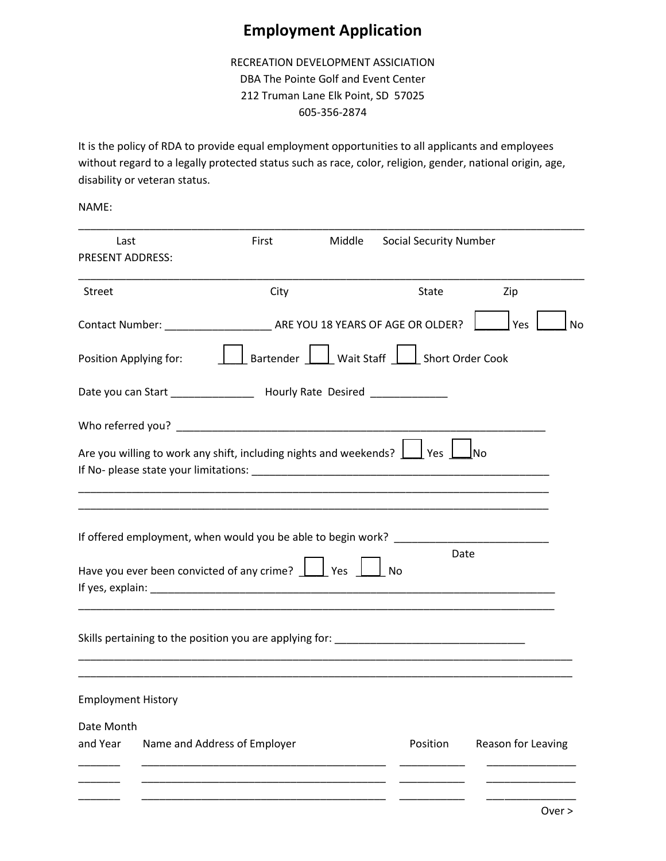## **Employment Application**

RECREATION DEVELOPMENT ASSICIATION DBA The Pointe Golf and Event Center 212 Truman Lane Elk Point, SD 57025 605-356-2874

It is the policy of RDA to provide equal employment opportunities to all applicants and employees without regard to a legally protected status such as race, color, religion, gender, national origin, age, disability or veteran status.

NAME:

| Last<br><b>PRESENT ADDRESS:</b> |                              | First                                                                                                                                                                                                                                                                                                                                                      | Middle | <b>Social Security Number</b>                                                             |                    |
|---------------------------------|------------------------------|------------------------------------------------------------------------------------------------------------------------------------------------------------------------------------------------------------------------------------------------------------------------------------------------------------------------------------------------------------|--------|-------------------------------------------------------------------------------------------|--------------------|
| Street                          |                              | City                                                                                                                                                                                                                                                                                                                                                       |        | <b>State</b>                                                                              | Zip                |
|                                 |                              |                                                                                                                                                                                                                                                                                                                                                            |        |                                                                                           | Yes<br><b>No</b>   |
| Position Applying for:          |                              |                                                                                                                                                                                                                                                                                                                                                            |        | Bartender U Wait Staff Short Order Cook                                                   |                    |
|                                 |                              | Date you can Start __________________ Hourly Rate Desired ______________                                                                                                                                                                                                                                                                                   |        |                                                                                           |                    |
|                                 |                              |                                                                                                                                                                                                                                                                                                                                                            |        |                                                                                           |                    |
|                                 |                              | Are you willing to work any shift, including nights and weekends? $\Box$ Yes                                                                                                                                                                                                                                                                               |        |                                                                                           | JNo                |
|                                 |                              |                                                                                                                                                                                                                                                                                                                                                            |        |                                                                                           |                    |
|                                 |                              | If offered employment, when would you be able to begin work? ______<br>Have you ever been convicted of any crime?     Yes<br>If yes, explain: The contract of the contract of the contract of the contract of the contract of the contract of the contract of the contract of the contract of the contract of the contract of the contract of the contract |        | Date<br>No                                                                                |                    |
|                                 |                              |                                                                                                                                                                                                                                                                                                                                                            |        | Skills pertaining to the position you are applying for: Skills pertaining to the position |                    |
| <b>Employment History</b>       |                              |                                                                                                                                                                                                                                                                                                                                                            |        |                                                                                           |                    |
| Date Month                      |                              |                                                                                                                                                                                                                                                                                                                                                            |        |                                                                                           |                    |
| and Year                        | Name and Address of Employer |                                                                                                                                                                                                                                                                                                                                                            |        | Position                                                                                  | Reason for Leaving |
|                                 |                              |                                                                                                                                                                                                                                                                                                                                                            |        |                                                                                           |                    |
|                                 |                              |                                                                                                                                                                                                                                                                                                                                                            |        |                                                                                           |                    |